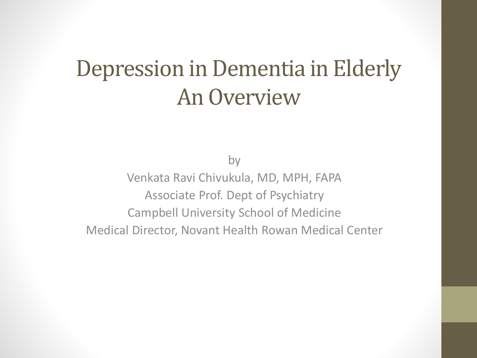#### Depression in Dementia in Elderly An Overview

by Venkata Ravi Chivukula, MD, MPH, FAPA Associate Prof. Dept of Psychiatry Campbell University School of Medicine Medical Director, Novant Health Rowan Medical Center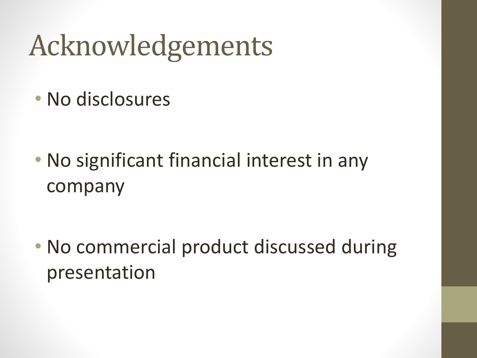## Acknowledgements

• No disclosures

• No significant financial interest in any company

• No commercial product discussed during presentation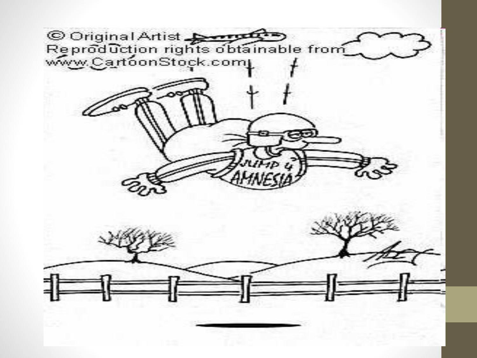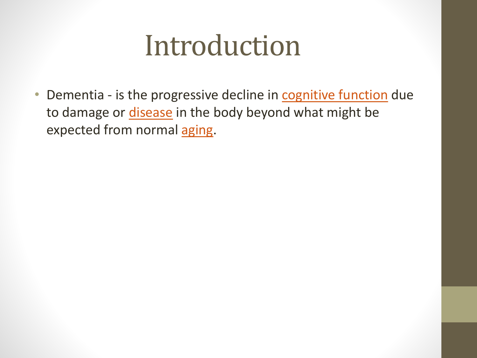#### Introduction

• Dementia - is the progressive decline in [cognitive function](http://en.wikipedia.org/wiki/Cognition) due to damage or [disease](http://en.wikipedia.org/wiki/Disease) in the body beyond what might be expected from normal [aging.](http://en.wikipedia.org/wiki/Aging)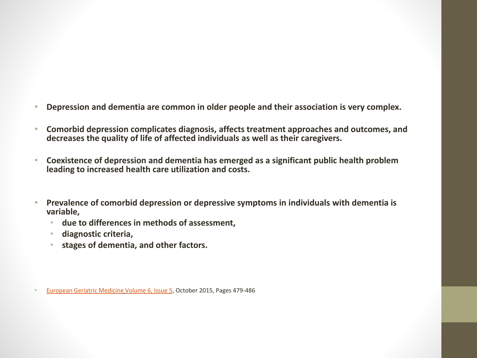- **Depression and dementia are common in older people and their association is very complex.**
- **Comorbid depression complicates diagnosis, affects treatment approaches and outcomes, and decreases the quality of life of affected individuals as well as their caregivers.**
- **Coexistence of depression and dementia has emerged as a significant public health problem leading to increased health care utilization and costs.**
- **Prevalence of comorbid depression or depressive symptoms in individuals with dementia is variable,** 
	- **due to differences in methods of assessment,**
	- **diagnostic criteria,**
	- **stages of dementia, and other factors.**

<sup>•</sup> [European Geriatric Medicine](https://www.sciencedirect.com/science/journal/18787649) [Volume 6, Issue 5](https://www.sciencedirect.com/science/journal/18787649/6/5), October 2015, Pages 479-486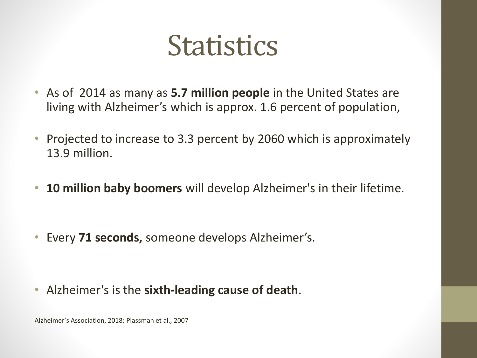**Statistics** 

- As of 2014 as many as **5.7 million people** in the United States are living with Alzheimer's which is approx. 1.6 percent of population,
- Projected to increase to 3.3 percent by 2060 which is approximately 13.9 million.
- **10 million baby boomers** will develop Alzheimer's in their lifetime.
- Every **71 seconds,** someone develops Alzheimer's.

• Alzheimer's is the **sixth-leading cause of death**.

Alzheimer's Association, 2018; Plassman et al., 2007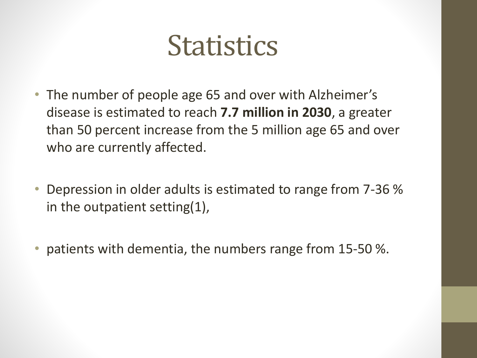#### **Statistics**

- The number of people age 65 and over with Alzheimer's disease is estimated to reach **7.7 million in 2030**, a greater than 50 percent increase from the 5 million age 65 and over who are currently affected.
- Depression in older adults is estimated to range from 7-36 % in the outpatient setting(1),
- patients with dementia, the numbers range from 15-50 %.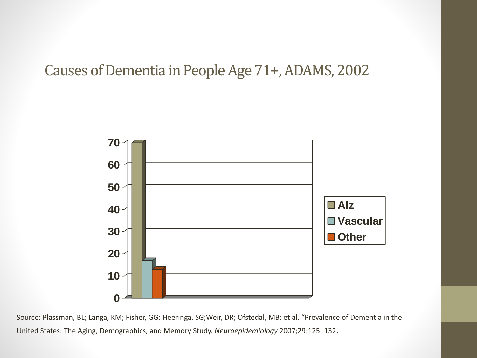#### Causes of Dementia in People Age 71+, ADAMS, 2002



Source: Plassman, BL; Langa, KM; Fisher, GG; Heeringa, SG;Weir, DR; Ofstedal, MB; et al. "Prevalence of Dementia in the United States: The Aging, Demographics, and Memory Study. *Neuroepidemiology* 2007;29:125–132.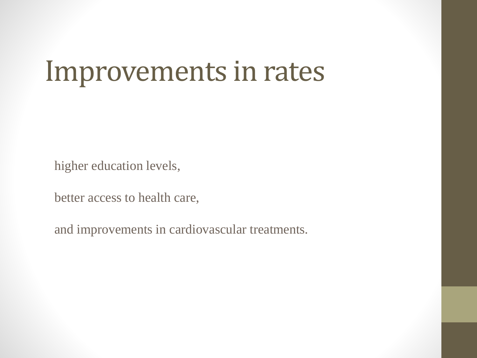#### Improvements in rates

higher education levels,

better access to health care,

and improvements in cardiovascular treatments.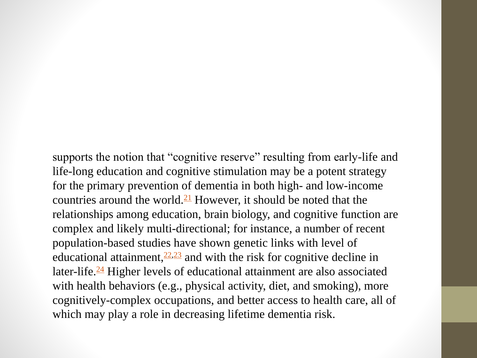supports the notion that "cognitive reserve" resulting from early-life and life-long education and cognitive stimulation may be a potent strategy for the primary prevention of dementia in both high- and low-income countries around the world. $\frac{21}{2}$  $\frac{21}{2}$  $\frac{21}{2}$  However, it should be noted that the relationships among education, brain biology, and cognitive function are complex and likely multi-directional; for instance, a number of recent population-based studies have shown genetic links with level of educational attainment,  $\frac{22,23}{2}$  $\frac{22,23}{2}$  $\frac{22,23}{2}$  $\frac{22,23}{2}$  and with the risk for cognitive decline in later-life. $\frac{24}{3}$  $\frac{24}{3}$  $\frac{24}{3}$  Higher levels of educational attainment are also associated with health behaviors (e.g., physical activity, diet, and smoking), more cognitively-complex occupations, and better access to health care, all of which may play a role in decreasing lifetime dementia risk.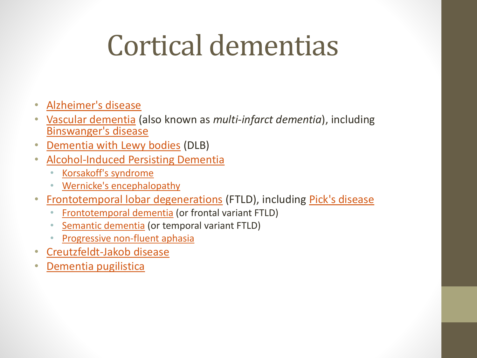#### Cortical dementias

- [Alzheimer's disease](http://en.wikipedia.org/wiki/Alzheimer)
- [Vascular dementia](http://en.wikipedia.org/wiki/Vascular_dementia) (also known as *multi-infarct dementia*), including [Binswanger's disease](http://en.wikipedia.org/wiki/Binswanger)
- [Dementia with Lewy bodies](http://en.wikipedia.org/wiki/Dementia_with_Lewy_bodies) (DLB)
- [Alcohol-Induced Persisting Dementia](http://en.wikipedia.org/wiki/Alcohol_dementia)
	- [Korsakoff's syndrome](http://en.wikipedia.org/wiki/Korsakoff)
	- [Wernicke's encephalopathy](http://en.wikipedia.org/wiki/Wernicke)
- [Frontotemporal lobar degenerations](http://en.wikipedia.org/wiki/Frontotemporal_lobar_degenerations) (FTLD), including [Pick's disease](http://en.wikipedia.org/wiki/Pick)
	- [Frontotemporal dementia](http://en.wikipedia.org/wiki/Frontotemporal_dementia) (or frontal variant FTLD)
	- [Semantic dementia](http://en.wikipedia.org/wiki/Semantic_dementia) (or temporal variant FTLD)
	- [Progressive non-fluent aphasia](http://en.wikipedia.org/wiki/Progressive_non-fluent_aphasia)
- [Creutzfeldt-Jakob disease](http://en.wikipedia.org/wiki/Creutzfeldt-Jakob_disease)
- [Dementia pugilistica](http://en.wikipedia.org/wiki/Dementia_pugilistica)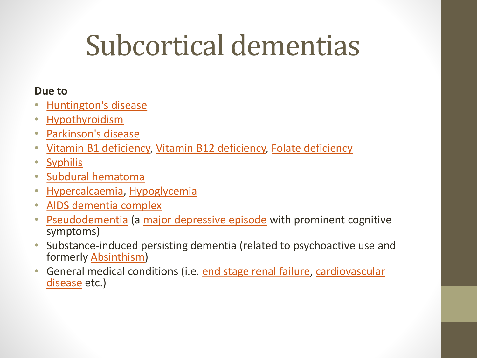### Subcortical dementias

#### **Due to**

- [Huntington's disease](http://en.wikipedia.org/wiki/Huntington)
- [Hypothyroidism](http://en.wikipedia.org/wiki/Hypothyroidism)
- [Parkinson's disease](http://en.wikipedia.org/wiki/Parkinson)
- [Vitamin B1 deficiency,](http://en.wikipedia.org/wiki/Vitamin_B1_deficiency) [Vitamin B12 deficiency,](http://en.wikipedia.org/wiki/Vitamin_B12_deficiency) [Folate deficiency](http://en.wikipedia.org/wiki/Folate_deficiency)
- [Syphilis](http://en.wikipedia.org/wiki/Syphilis)
- [Subdural hematoma](http://en.wikipedia.org/wiki/Subdural_hematoma)
- [Hypercalcaemia](http://en.wikipedia.org/wiki/Hypercalcaemia), [Hypoglycemia](http://en.wikipedia.org/wiki/Hypoglycemia)
- [AIDS dementia complex](http://en.wikipedia.org/wiki/AIDS_dementia_complex)
- [Pseudodementia](http://en.wikipedia.org/wiki/Pseudodementia) (a [major depressive episode](http://en.wikipedia.org/wiki/Major_depressive_episode) with prominent cognitive symptoms)
- Substance-induced persisting dementia (related to psychoactive use and formerly [Absinthism](http://en.wikipedia.org/wiki/Absinthism))
- General medical conditions (i.e. end stage renal failure, cardiovascular disease etc.)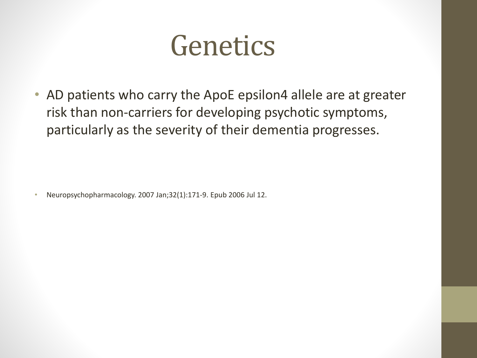

• AD patients who carry the ApoE epsilon4 allele are at greater risk than non-carriers for developing psychotic symptoms, particularly as the severity of their dementia progresses.

• Neuropsychopharmacology. 2007 Jan;32(1):171-9. Epub 2006 Jul 12.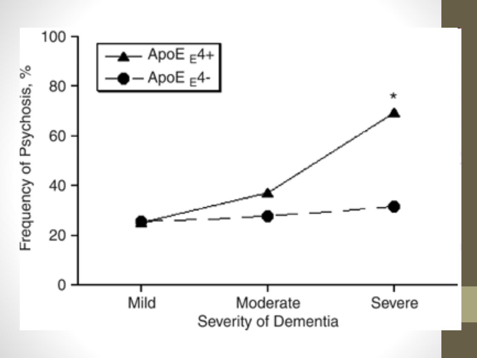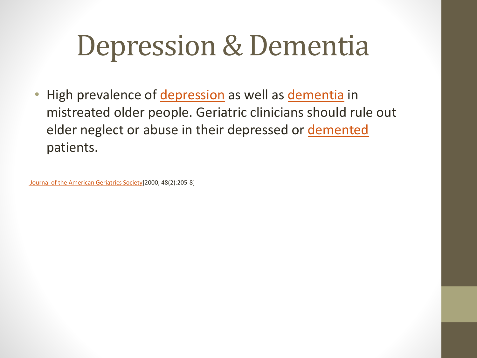#### Depression & Dementia

• High prevalence of *[depression](http://ukpmc.ac.uk/abstract/MED/10682951/?whatizit_url=http://ukpmc.ac.uk/search/?page=1&query=%22depression%22)* as well as *dementia* in mistreated older people. Geriatric clinicians should rule out elder neglect or abuse in their depressed or [demented](http://ukpmc.ac.uk/abstract/MED/10682951/?whatizit_url=http://ukpmc.ac.uk/search/?page=1&query=%22demented%22) patients.

[Journal of the American Geriatrics Society](http://ukpmc.ac.uk/search/?page=1&query=ISSN:%220002-8614%22)[2000, 48(2):205-8]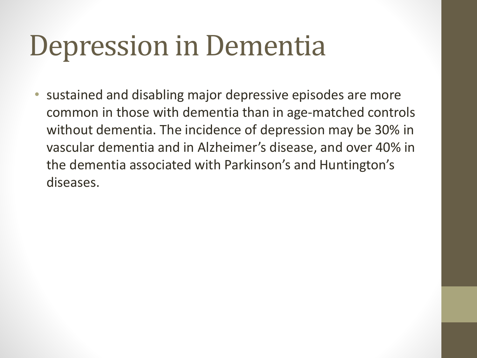#### Depression in Dementia

• sustained and disabling major depressive episodes are more common in those with dementia than in age-matched controls without dementia. The incidence of depression may be 30% in vascular dementia and in Alzheimer's disease, and over 40% in the dementia associated with Parkinson's and Huntington's diseases.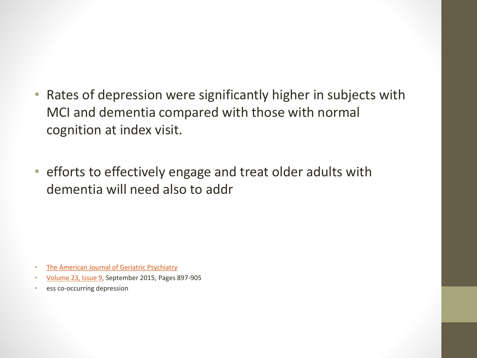- Rates of depression were significantly higher in subjects with MCI and dementia compared with those with normal cognition at index visit.
- efforts to effectively engage and treat older adults with dementia will need also to addr

- [The American Journal of Geriatric Psychiatry](https://www.sciencedirect.com/science/journal/10647481)
- [Volume 23, Issue 9](https://www.sciencedirect.com/science/journal/10647481/23/9), September 2015, Pages 897-905
- ess co-occurring depression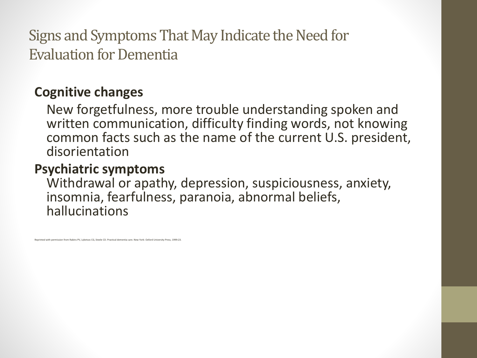Signs and Symptoms That May Indicate the Need for Evaluation for Dementia

#### **Cognitive changes**

New forgetfulness, more trouble understanding spoken and written communication, difficulty finding words, not knowing common facts such as the name of the current U.S. president, disorientation

#### **Psychiatric symptoms**

Withdrawal or apathy, depression, suspiciousness, anxiety, insomnia, fearfulness, paranoia, abnormal beliefs, hallucinations

Reprinted with permission from Rabins PV, Lyketsos CG, Steele CD. Practical dementia care. New York: Oxford University Press, 1999:23.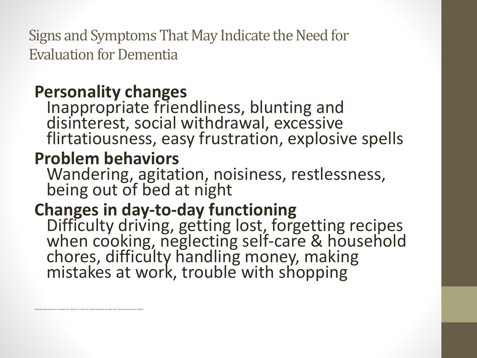Signs and Symptoms That May Indicate the Need for Evaluation for Dementia

#### **Personality changes**

Inappropriate friendliness, blunting and disinterest, social withdrawal, excessive flirtatiousness, easy frustration, explosive spells

#### **Problem behaviors**

Reprinted with permission from Rabins PV, Lyketsos CG, Steele CD. Practical dementia care. New York: Oxford University Press, 1999:23.

Wandering, agitation, noisiness, restlessness, being out of bed at night

#### **Changes in day-to-day functioning**

Difficulty driving, getting lost, forgetting recipes when cooking, neglecting self-care & household chores, difficulty handling money, making mistakes at work, trouble with shopping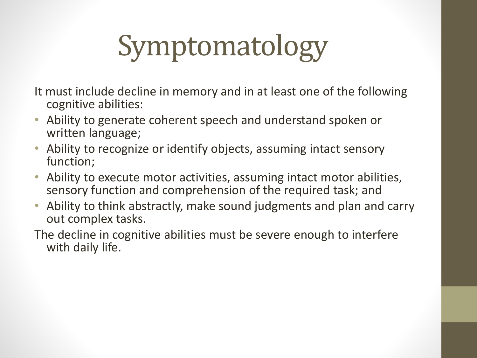## Symptomatology

It must include decline in memory and in at least one of the following cognitive abilities:

- Ability to generate coherent speech and understand spoken or written language;
- Ability to recognize or identify objects, assuming intact sensory function;
- Ability to execute motor activities, assuming intact motor abilities, sensory function and comprehension of the required task; and
- Ability to think abstractly, make sound judgments and plan and carry out complex tasks.
- The decline in cognitive abilities must be severe enough to interfere with daily life.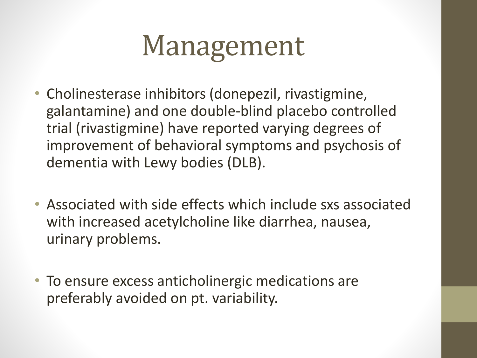### Management

- Cholinesterase inhibitors (donepezil, rivastigmine, galantamine) and one double-blind placebo controlled trial (rivastigmine) have reported varying degrees of improvement of behavioral symptoms and psychosis of dementia with Lewy bodies (DLB).
- Associated with side effects which include sxs associated with increased acetylcholine like diarrhea, nausea, urinary problems.
- To ensure excess anticholinergic medications are preferably avoided on pt. variability.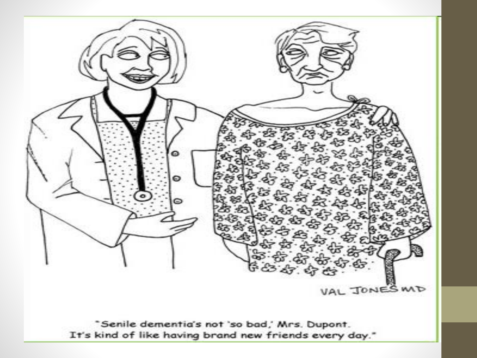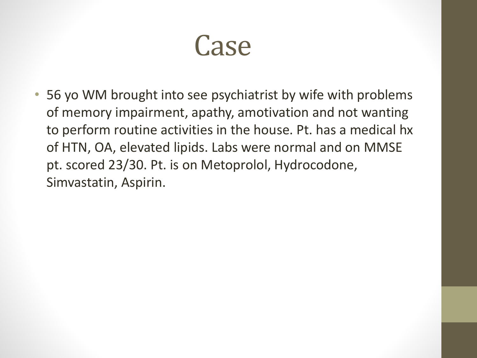Case

• 56 yo WM brought into see psychiatrist by wife with problems of memory impairment, apathy, amotivation and not wanting to perform routine activities in the house. Pt. has a medical hx of HTN, OA, elevated lipids. Labs were normal and on MMSE pt. scored 23/30. Pt. is on Metoprolol, Hydrocodone, Simvastatin, Aspirin.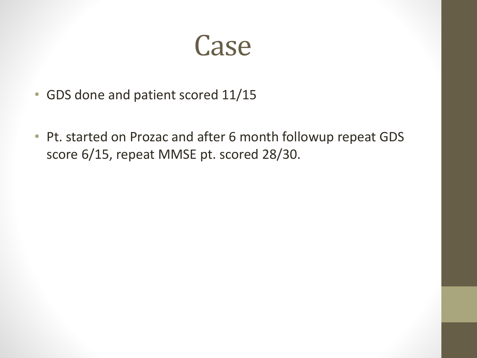#### Case

- GDS done and patient scored 11/15
- Pt. started on Prozac and after 6 month followup repeat GDS score 6/15, repeat MMSE pt. scored 28/30.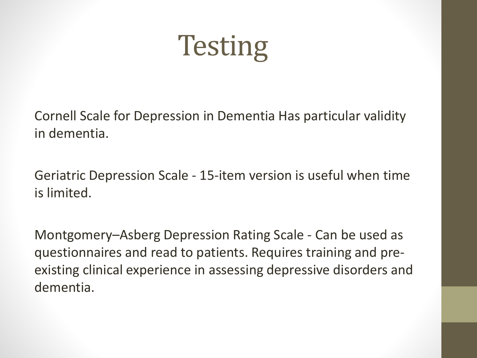**Testing** 

Cornell Scale for Depression in Dementia Has particular validity in dementia.

Geriatric Depression Scale - 15-item version is useful when time is limited.

Montgomery–Asberg Depression Rating Scale - Can be used as questionnaires and read to patients. Requires training and preexisting clinical experience in assessing depressive disorders and dementia.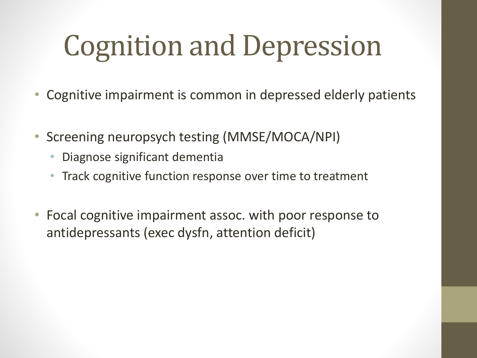## Cognition and Depression

- Cognitive impairment is common in depressed elderly patients
- Screening neuropsych testing (MMSE/MOCA/NPI)
	- Diagnose significant dementia
	- Track cognitive function response over time to treatment
- Focal cognitive impairment assoc. with poor response to antidepressants (exec dysfn, attention deficit)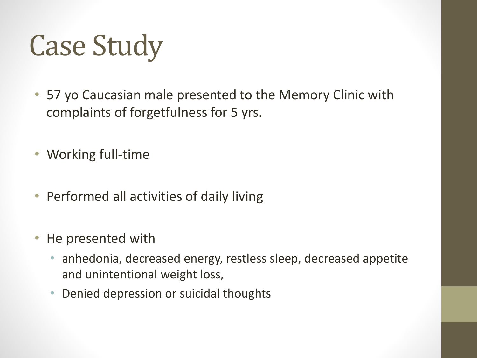## Case Study

- 57 yo Caucasian male presented to the Memory Clinic with complaints of forgetfulness for 5 yrs.
- Working full-time
- Performed all activities of daily living
- He presented with
	- anhedonia, decreased energy, restless sleep, decreased appetite and unintentional weight loss,
	- Denied depression or suicidal thoughts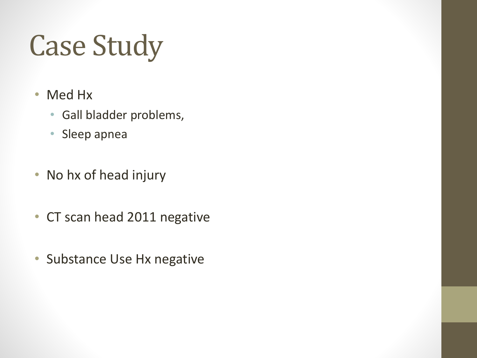# Case Study

- Med Hx
	- Gall bladder problems,
	- Sleep apnea
- No hx of head injury
- CT scan head 2011 negative
- Substance Use Hx negative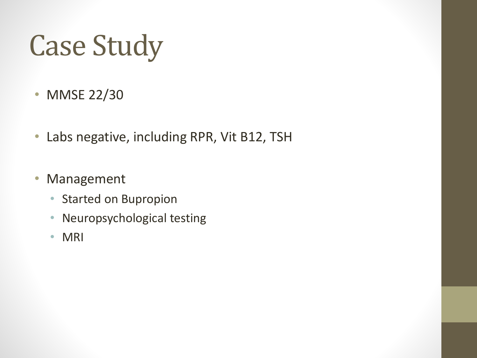## Case Study

- MMSE 22/30
- Labs negative, including RPR, Vit B12, TSH
- Management
	- Started on Bupropion
	- Neuropsychological testing
	- MRI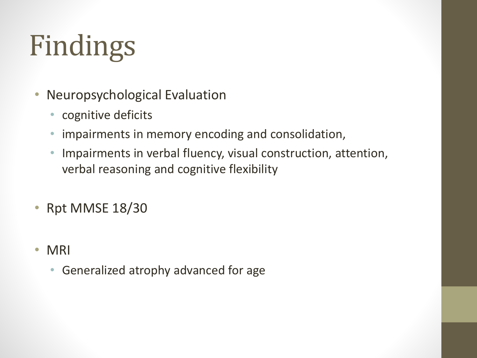# Findings

- Neuropsychological Evaluation
	- cognitive deficits
	- impairments in memory encoding and consolidation,
	- Impairments in verbal fluency, visual construction, attention, verbal reasoning and cognitive flexibility
- Rpt MMSE 18/30
- MRI
	- Generalized atrophy advanced for age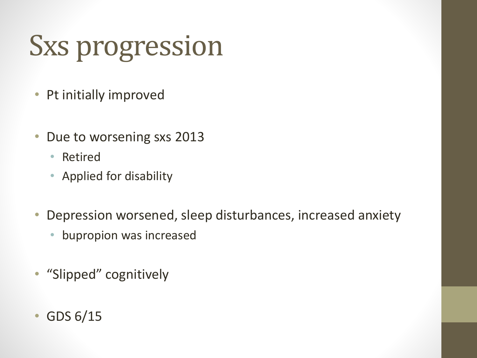# Sxs progression

- Pt initially improved
- Due to worsening sxs 2013
	- Retired
	- Applied for disability
- Depression worsened, sleep disturbances, increased anxiety
	- bupropion was increased
- "Slipped" cognitively
- GDS 6/15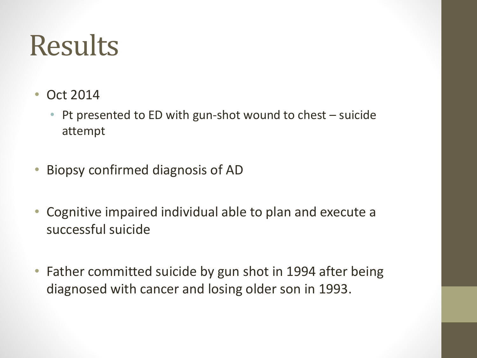## Results

- Oct 2014
	- Pt presented to ED with gun-shot wound to chest suicide attempt
- Biopsy confirmed diagnosis of AD
- Cognitive impaired individual able to plan and execute a successful suicide
- Father committed suicide by gun shot in 1994 after being diagnosed with cancer and losing older son in 1993.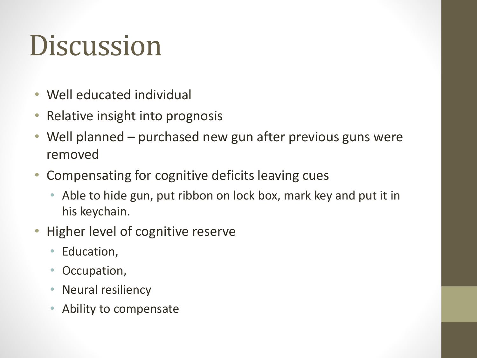### **Discussion**

- Well educated individual
- Relative insight into prognosis
- Well planned purchased new gun after previous guns were removed
- Compensating for cognitive deficits leaving cues
	- Able to hide gun, put ribbon on lock box, mark key and put it in his keychain.
- Higher level of cognitive reserve
	- Education,
	- Occupation,
	- Neural resiliency
	- Ability to compensate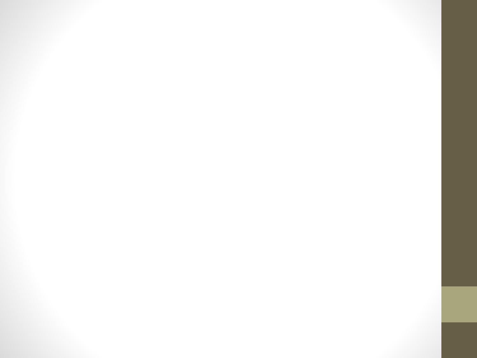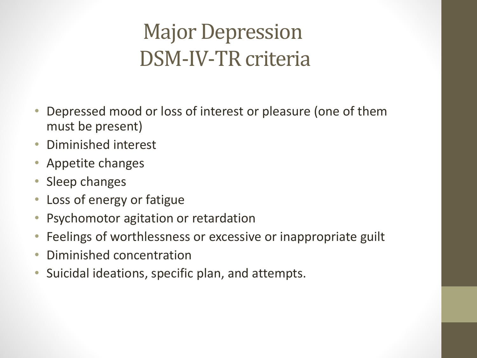#### Major Depression DSM-IV-TR criteria

- Depressed mood or loss of interest or pleasure (one of them must be present)
- Diminished interest
- Appetite changes
- Sleep changes
- Loss of energy or fatigue
- Psychomotor agitation or retardation
- Feelings of worthlessness or excessive or inappropriate guilt
- Diminished concentration
- Suicidal ideations, specific plan, and attempts.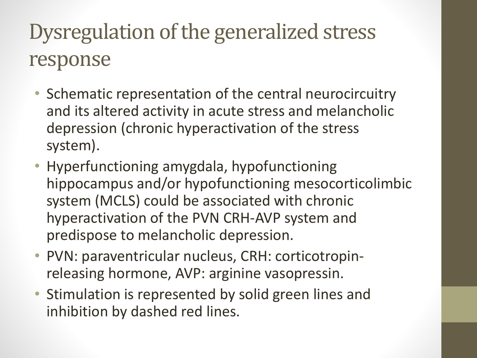#### Dysregulation of the generalized stress response

- Schematic representation of the central neurocircuitry and its altered activity in acute stress and melancholic depression (chronic hyperactivation of the stress system).
- Hyperfunctioning amygdala, hypofunctioning hippocampus and/or hypofunctioning mesocorticolimbic system (MCLS) could be associated with chronic hyperactivation of the PVN CRH-AVP system and predispose to melancholic depression.
- PVN: paraventricular nucleus, CRH: corticotropinreleasing hormone, AVP: arginine vasopressin.
- Stimulation is represented by solid green lines and inhibition by dashed red lines.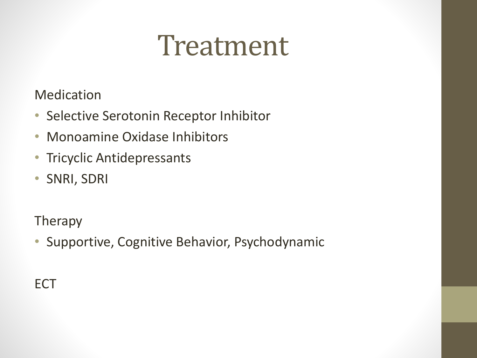#### Treatment

Medication

- Selective Serotonin Receptor Inhibitor
- Monoamine Oxidase Inhibitors
- Tricyclic Antidepressants
- SNRI, SDRI

Therapy

• Supportive, Cognitive Behavior, Psychodynamic

ECT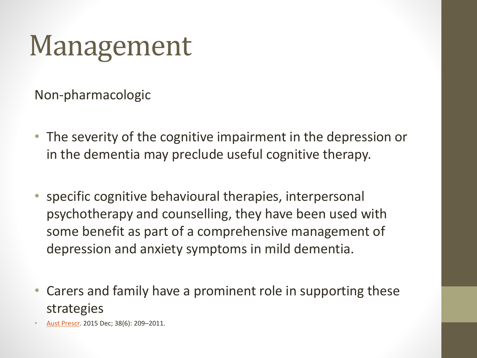### Management

Non-pharmacologic

- The severity of the cognitive impairment in the depression or in the dementia may preclude useful cognitive therapy.
- specific cognitive behavioural therapies, interpersonal psychotherapy and counselling, they have been used with some benefit as part of a comprehensive management of depression and anxiety symptoms in mild dementia.
- Carers and family have a prominent role in supporting these strategies
- [Aust Prescr](https://www.ncbi.nlm.nih.gov/pmc/articles/PMC4674029/). 2015 Dec; 38(6): 209–2011.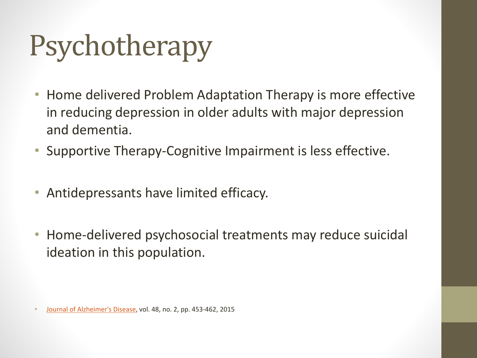## Psychotherapy

- Home delivered Problem Adaptation Therapy is more effective in reducing depression in older adults with major depression and dementia.
- Supportive Therapy-Cognitive Impairment is less effective.
- Antidepressants have limited efficacy.
- Home-delivered psychosocial treatments may reduce suicidal ideation in this population.

• [Journal of Alzheimer's Disease](https://content.iospress.com/journals/journal-of-alzheimers-disease), vol. 48, no. 2, pp. 453-462, 2015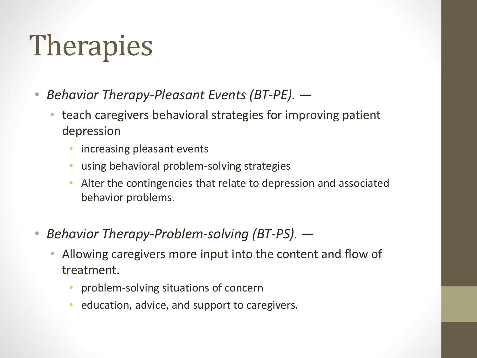## Therapies

- *Behavior Therapy-Pleasant Events (BT-PE).* 
	- teach caregivers behavioral strategies for improving patient depression
		- increasing pleasant events
		- using behavioral problem-solving strategies
		- Alter the contingencies that relate to depression and associated behavior problems.
- *Behavior Therapy-Problem-solving (BT-PS).* 
	- Allowing caregivers more input into the content and flow of treatment.
		- problem-solving situations of concern
		- education, advice, and support to caregivers.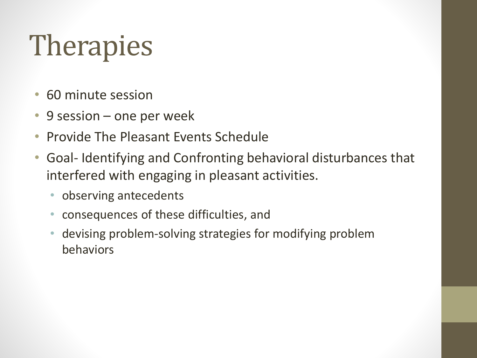# **Therapies**

- 60 minute session
- 9 session one per week
- Provide The Pleasant Events Schedule
- Goal- Identifying and Confronting behavioral disturbances that interfered with engaging in pleasant activities.
	- observing antecedents
	- consequences of these difficulties, and
	- devising problem-solving strategies for modifying problem behaviors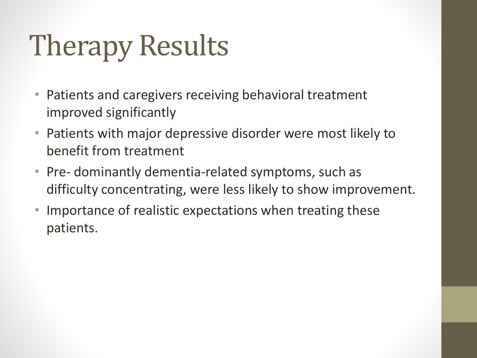# Therapy Results

- Patients and caregivers receiving behavioral treatment improved significantly
- Patients with major depressive disorder were most likely to benefit from treatment
- Pre- dominantly dementia-related symptoms, such as difficulty concentrating, were less likely to show improvement.
- Importance of realistic expectations when treating these patients.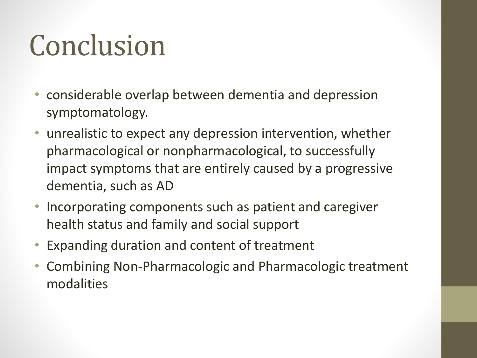## Conclusion

- considerable overlap between dementia and depression symptomatology.
- unrealistic to expect any depression intervention, whether pharmacological or nonpharmacological, to successfully impact symptoms that are entirely caused by a progressive dementia, such as AD
- Incorporating components such as patient and caregiver health status and family and social support
- Expanding duration and content of treatment
- Combining Non-Pharmacologic and Pharmacologic treatment modalities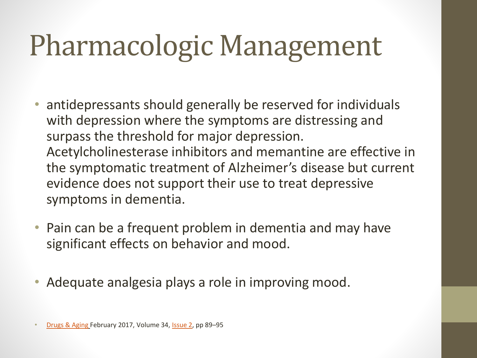## Pharmacologic Management

- antidepressants should generally be reserved for individuals with depression where the symptoms are distressing and surpass the threshold for major depression. Acetylcholinesterase inhibitors and memantine are effective in the symptomatic treatment of Alzheimer's disease but current evidence does not support their use to treat depressive symptoms in dementia.
- Pain can be a frequent problem in dementia and may have significant effects on behavior and mood.
- Adequate analgesia plays a role in improving mood.

<sup>•</sup> [Drugs & Aging](https://link.springer.com/journal/40266) February 2017, Volume 34, [Issue](https://link.springer.com/journal/40266/34/2/page/1) 2, pp 89–95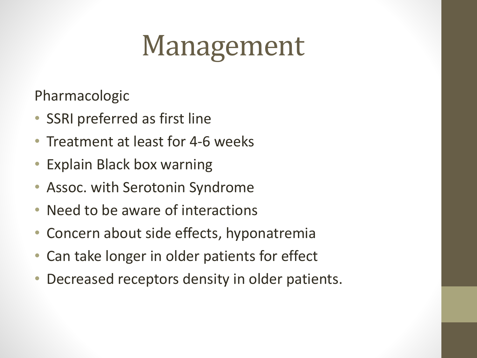## Management

Pharmacologic

- SSRI preferred as first line
- Treatment at least for 4-6 weeks
- Explain Black box warning
- Assoc. with Serotonin Syndrome
- Need to be aware of interactions
- Concern about side effects, hyponatremia
- Can take longer in older patients for effect
- Decreased receptors density in older patients.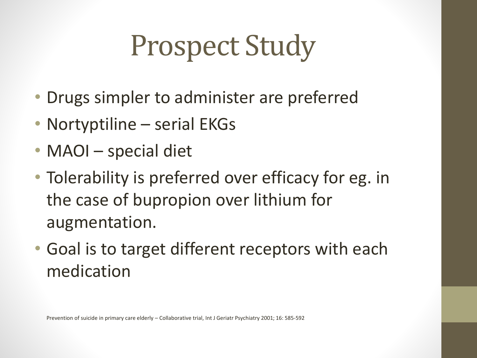## Prospect Study

- Drugs simpler to administer are preferred
- Nortyptiline serial EKGs
- MAOI special diet
- Tolerability is preferred over efficacy for eg. in the case of bupropion over lithium for augmentation.
- Goal is to target different receptors with each medication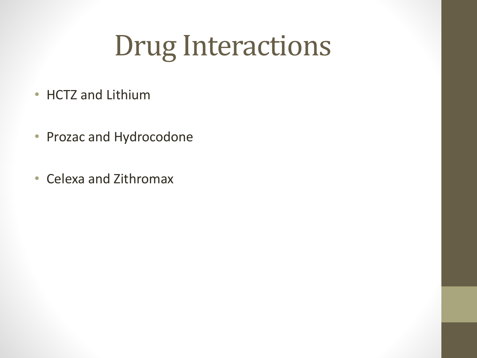## Drug Interactions

- HCTZ and Lithium
- Prozac and Hydrocodone
- Celexa and Zithromax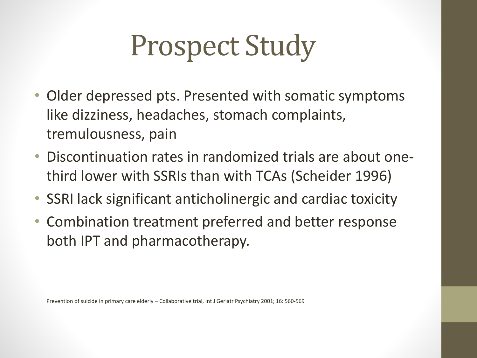## Prospect Study

- Older depressed pts. Presented with somatic symptoms like dizziness, headaches, stomach complaints, tremulousness, pain
- Discontinuation rates in randomized trials are about onethird lower with SSRIs than with TCAs (Scheider 1996)
- SSRI lack significant anticholinergic and cardiac toxicity
- Combination treatment preferred and better response both IPT and pharmacotherapy.

Prevention of suicide in primary care elderly – Collaborative trial, Int J Geriatr Psychiatry 2001; 16: 560-569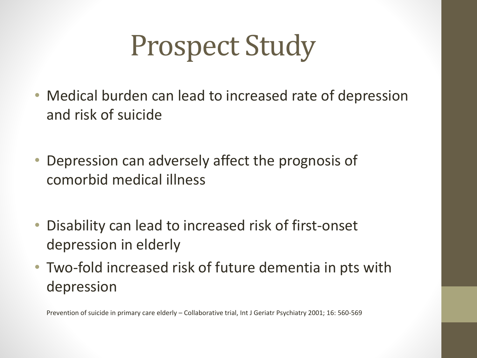### Prospect Study

- Medical burden can lead to increased rate of depression and risk of suicide
- Depression can adversely affect the prognosis of comorbid medical illness
- Disability can lead to increased risk of first-onset depression in elderly
- Two-fold increased risk of future dementia in pts with depression

Prevention of suicide in primary care elderly – Collaborative trial, Int J Geriatr Psychiatry 2001; 16: 560-569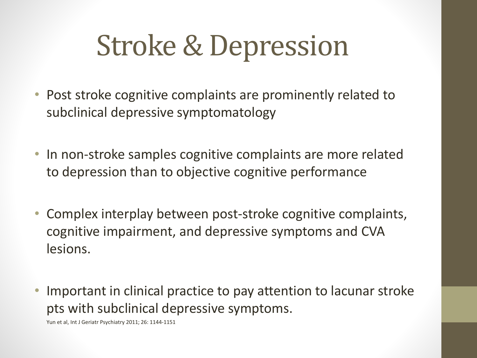### Stroke & Depression

- Post stroke cognitive complaints are prominently related to subclinical depressive symptomatology
- In non-stroke samples cognitive complaints are more related to depression than to objective cognitive performance
- Complex interplay between post-stroke cognitive complaints, cognitive impairment, and depressive symptoms and CVA lesions.
- Important in clinical practice to pay attention to lacunar stroke pts with subclinical depressive symptoms.

Yun et al, Int J Geriatr Psychiatry 2011; 26: 1144-1151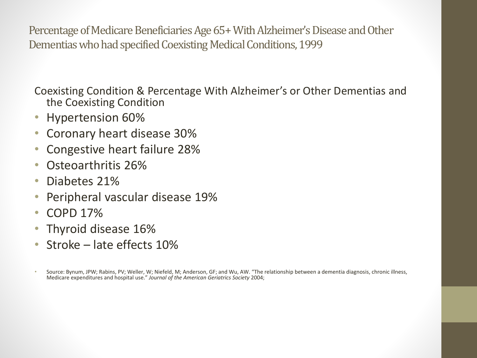Percentage of Medicare Beneficiaries Age 65+ With Alzheimer's Disease and Other Dementias who had specified Coexisting Medical Conditions, 1999

Coexisting Condition & Percentage With Alzheimer's or Other Dementias and the Coexisting Condition

- Hypertension 60%
- Coronary heart disease 30%
- Congestive heart failure 28%
- Osteoarthritis 26%
- Diabetes 21%
- Peripheral vascular disease 19%
- COPD 17%
- Thyroid disease 16%
- Stroke late effects 10%

<sup>•</sup> Source: Bynum, JPW; Rabins, PV; Weller, W; Niefeld, M; Anderson, GF; and Wu, AW. "The relationship between a dementia diagnosis, chronic illness, Medicare expenditures and hospital use." *Journal of the American Geriatrics Society* 2004;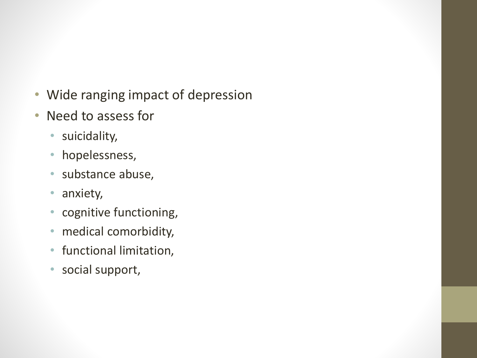- Wide ranging impact of depression
- Need to assess for
	- suicidality,
	- hopelessness,
	- substance abuse,
	- anxiety,
	- cognitive functioning,
	- medical comorbidity,
	- functional limitation,
	- social support,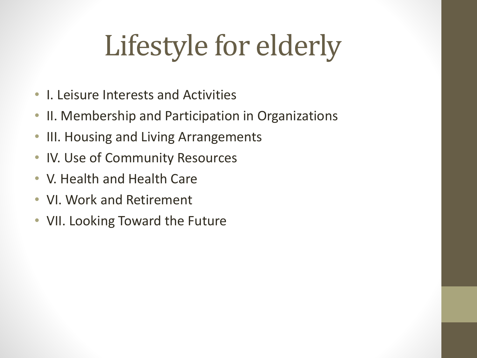# Lifestyle for elderly

- I. Leisure Interests and Activities
- II. Membership and Participation in Organizations
- III. Housing and Living Arrangements
- IV. Use of Community Resources
- V. Health and Health Care
- VI. Work and Retirement
- VII. Looking Toward the Future